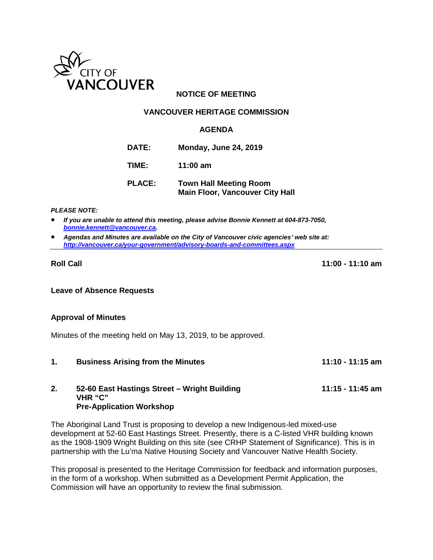

# **NOTICE OF MEETING**

#### **VANCOUVER HERITAGE COMMISSION**

#### **AGENDA**

- **DATE: Monday, June 24, 2019**
- **TIME: 11:00 am**
- **PLACE: Town Hall Meeting Room Main Floor, Vancouver City Hall**

*PLEASE NOTE:*

- *If you are unable to attend this meeting, please advise Bonnie Kennett at 604-873-7050, [bonnie.kennett@vancouver.ca.](mailto:bonnie.kennett@vancouver.ca)*
- *Agendas and Minutes are available on the City of Vancouver civic agencies' web site at: <http://vancouver.ca/your-government/advisory-boards-and-committees.aspx>*

**Roll Call 11:00 - 11:10 am**

**Leave of Absence Requests**

#### **Approval of Minutes**

Minutes of the meeting held on May 13, 2019, to be approved.

**1. Business Arising from the Minutes 11:10 - 11:15 am 2. 52-60 East Hastings Street – Wright Building 11:15 - 11:45 am VHR "C"** 

# **Pre-Application Workshop**

The Aboriginal Land Trust is proposing to develop a new Indigenous-led mixed-use development at 52-60 East Hastings Street. Presently, there is a C-listed VHR building known as the 1908-1909 Wright Building on this site (see CRHP Statement of Significance). This is in partnership with the Lu'ma Native Housing Society and Vancouver Native Health Society.

This proposal is presented to the Heritage Commission for feedback and information purposes, in the form of a workshop. When submitted as a Development Permit Application, the Commission will have an opportunity to review the final submission.